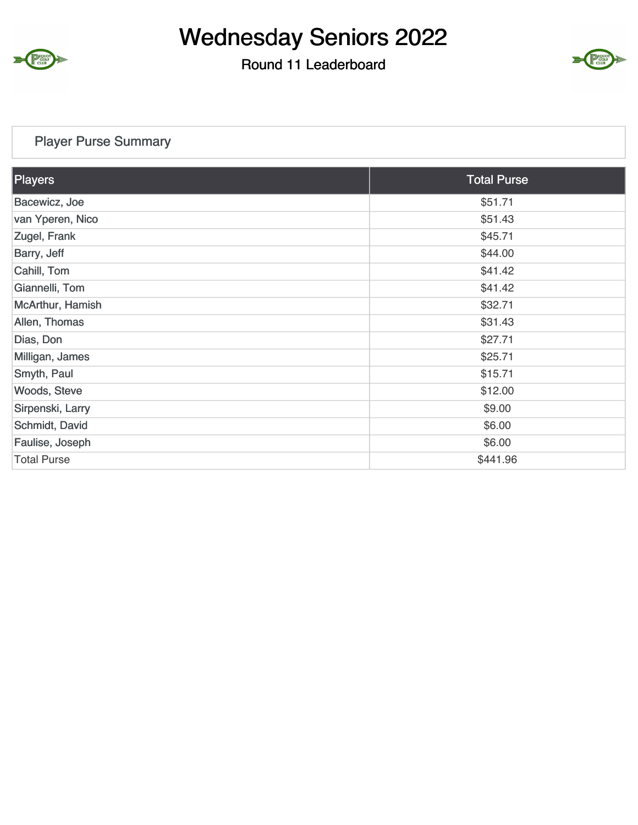

### Round 11 Leaderboard



### Player Purse Summary

| <b>Players</b>     | <b>Total Purse</b> |
|--------------------|--------------------|
| Bacewicz, Joe      | \$51.71            |
| van Yperen, Nico   | \$51.43            |
| Zugel, Frank       | \$45.71            |
| Barry, Jeff        | \$44.00            |
| Cahill, Tom        | \$41.42            |
| Giannelli, Tom     | \$41.42            |
| McArthur, Hamish   | \$32.71            |
| Allen, Thomas      | \$31.43            |
| Dias, Don          | \$27.71            |
| Milligan, James    | \$25.71            |
| Smyth, Paul        | \$15.71            |
| Woods, Steve       | \$12.00            |
| Sirpenski, Larry   | \$9.00             |
| Schmidt, David     | \$6.00             |
| Faulise, Joseph    | \$6.00             |
| <b>Total Purse</b> | \$441.96           |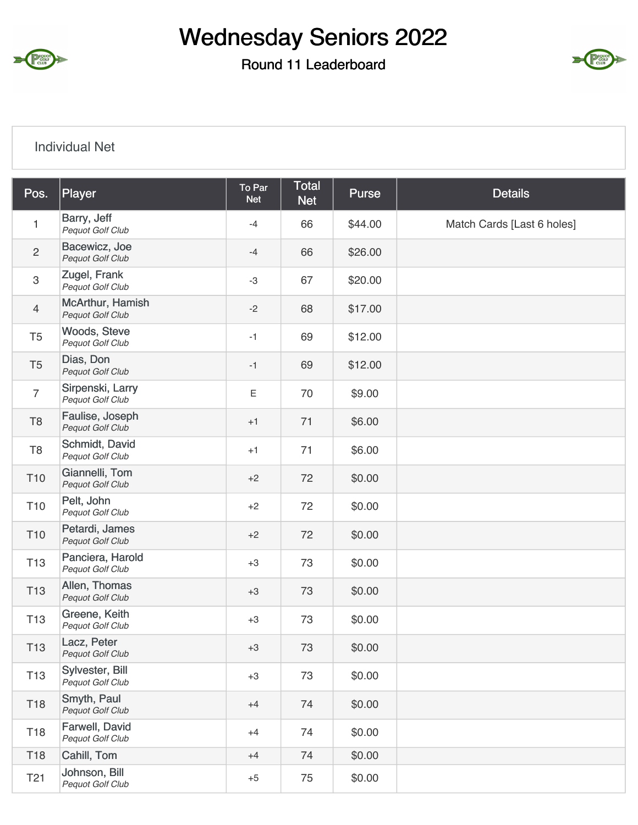

Round 11 Leaderboard



#### Individual Net

| Pos.            | Player                                      | To Par<br><b>Net</b> | <b>Total</b><br><b>Net</b> | Purse   | <b>Details</b>             |
|-----------------|---------------------------------------------|----------------------|----------------------------|---------|----------------------------|
| 1               | Barry, Jeff<br>Pequot Golf Club             | $-4$                 | 66                         | \$44.00 | Match Cards [Last 6 holes] |
| $\mathbf{2}$    | Bacewicz, Joe<br>Pequot Golf Club           | $-4$                 | 66                         | \$26.00 |                            |
| $\,3$           | Zugel, Frank<br>Pequot Golf Club            | $-3$                 | 67                         | \$20.00 |                            |
| $\overline{4}$  | McArthur, Hamish<br><b>Pequot Golf Club</b> | $-2$                 | 68                         | \$17.00 |                            |
| T <sub>5</sub>  | Woods, Steve<br>Pequot Golf Club            | $-1$                 | 69                         | \$12.00 |                            |
| T <sub>5</sub>  | Dias, Don<br>Pequot Golf Club               | $-1$                 | 69                         | \$12.00 |                            |
| $\overline{7}$  | Sirpenski, Larry<br>Pequot Golf Club        | $\mathsf E$          | 70                         | \$9.00  |                            |
| T <sub>8</sub>  | Faulise, Joseph<br><b>Pequot Golf Club</b>  | $+1$                 | 71                         | \$6.00  |                            |
| T <sub>8</sub>  | Schmidt, David<br>Pequot Golf Club          | $+1$                 | 71                         | \$6.00  |                            |
| T <sub>10</sub> | Giannelli, Tom<br>Pequot Golf Club          | $+2$                 | 72                         | \$0.00  |                            |
| T <sub>10</sub> | Pelt, John<br>Pequot Golf Club              | $+2$                 | 72                         | \$0.00  |                            |
| T <sub>10</sub> | Petardi, James<br><b>Pequot Golf Club</b>   | $+2$                 | 72                         | \$0.00  |                            |
| T <sub>13</sub> | Panciera, Harold<br>Pequot Golf Club        | $+3$                 | 73                         | \$0.00  |                            |
| T <sub>13</sub> | Allen, Thomas<br><b>Pequot Golf Club</b>    | $+3$                 | 73                         | \$0.00  |                            |
| T <sub>13</sub> | Greene, Keith<br>Pequot Golf Club           | $+3$                 | 73                         | \$0.00  |                            |
| T <sub>13</sub> | Lacz, Peter<br><b>Pequot Golf Club</b>      | $+3$                 | 73                         | \$0.00  |                            |
| T <sub>13</sub> | Sylvester, Bill<br>Pequot Golf Club         | $+3$                 | 73                         | \$0.00  |                            |
| T18             | Smyth, Paul<br>Pequot Golf Club             | $+4$                 | 74                         | \$0.00  |                            |
| T18             | Farwell, David<br>Pequot Golf Club          | $+4$                 | 74                         | \$0.00  |                            |
| T18             | Cahill, Tom                                 | $+4$                 | 74                         | \$0.00  |                            |
| T <sub>21</sub> | Johnson, Bill<br>Pequot Golf Club           | $+5$                 | 75                         | \$0.00  |                            |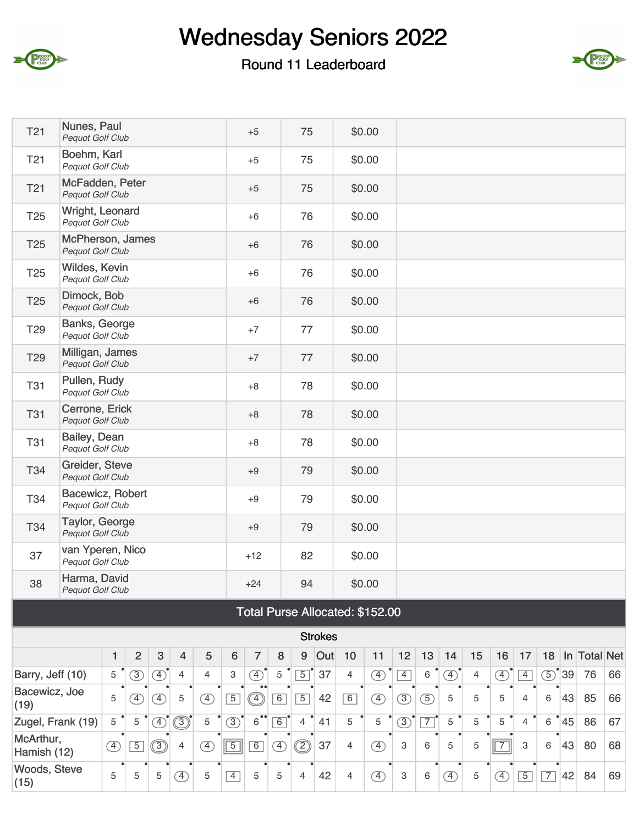

### Round 11 Leaderboard



| <b>T21</b>               | Nunes, Paul<br>Pequot Golf Club             |                                                                         |                |               |                              |                |                | $+5$                 |               | 75             |                |                | \$0.00                          |                |               |               |                |                |                |                |                   |              |    |
|--------------------------|---------------------------------------------|-------------------------------------------------------------------------|----------------|---------------|------------------------------|----------------|----------------|----------------------|---------------|----------------|----------------|----------------|---------------------------------|----------------|---------------|---------------|----------------|----------------|----------------|----------------|-------------------|--------------|----|
| T <sub>21</sub>          | Boehm, Karl<br>Pequot Golf Club             |                                                                         |                |               |                              |                |                | $+5$                 |               | 75             |                |                | \$0.00                          |                |               |               |                |                |                |                |                   |              |    |
| T <sub>21</sub>          | McFadden, Peter<br><b>Pequot Golf Club</b>  |                                                                         |                |               |                              |                |                | $+5$                 |               | 75             |                |                | \$0.00                          |                |               |               |                |                |                |                |                   |              |    |
| T <sub>25</sub>          | Wright, Leonard<br>Pequot Golf Club         |                                                                         |                |               |                              |                |                | $+6$                 |               | 76             |                |                | \$0.00                          |                |               |               |                |                |                |                |                   |              |    |
| T <sub>25</sub>          | McPherson, James<br>Pequot Golf Club        |                                                                         |                |               |                              |                |                | $+6$                 |               | 76             |                |                | \$0.00                          |                |               |               |                |                |                |                |                   |              |    |
| T <sub>25</sub>          | Wildes, Kevin<br>Pequot Golf Club           |                                                                         |                |               |                              |                |                | $+6$                 |               | 76             |                |                | \$0.00                          |                |               |               |                |                |                |                |                   |              |    |
| T <sub>25</sub>          | Dimock, Bob<br>Pequot Golf Club             |                                                                         |                |               |                              |                |                | $+6$                 |               | 76             |                |                | \$0.00                          |                |               |               |                |                |                |                |                   |              |    |
| T <sub>29</sub>          | Banks, George<br>Pequot Golf Club           |                                                                         |                |               |                              |                |                | $+7$                 |               | 77             |                |                | \$0.00                          |                |               |               |                |                |                |                |                   |              |    |
| T <sub>29</sub>          | Milligan, James<br><b>Pequot Golf Club</b>  |                                                                         |                |               |                              |                |                | $+7$                 |               | 77             |                |                | \$0.00                          |                |               |               |                |                |                |                |                   |              |    |
| <b>T31</b>               | Pullen, Rudy<br>Pequot Golf Club            |                                                                         |                |               |                              |                |                | $+8$                 |               | 78             |                |                | \$0.00                          |                |               |               |                |                |                |                |                   |              |    |
| <b>T31</b>               | Cerrone, Erick<br>Pequot Golf Club          |                                                                         |                |               |                              |                |                | $+8$                 |               | 78             |                |                | \$0.00                          |                |               |               |                |                |                |                |                   |              |    |
| <b>T31</b>               | Bailey, Dean<br>Pequot Golf Club            |                                                                         |                |               |                              |                |                | $+8$                 |               | 78             |                |                | \$0.00                          |                |               |               |                |                |                |                |                   |              |    |
| T34                      | Greider, Steve<br>Pequot Golf Club          |                                                                         |                |               |                              |                |                | $+9$                 |               | 79             |                |                | \$0.00                          |                |               |               |                |                |                |                |                   |              |    |
| T34                      | Bacewicz, Robert<br><b>Pequot Golf Club</b> |                                                                         |                |               |                              |                |                | $+9$                 |               | 79             |                |                | \$0.00                          |                |               |               |                |                |                |                |                   |              |    |
| T34                      | Taylor, George<br><b>Pequot Golf Club</b>   |                                                                         |                |               |                              |                |                | $+9$                 |               | 79             |                |                | \$0.00                          |                |               |               |                |                |                |                |                   |              |    |
| 37                       | van Yperen, Nico<br>Pequot Golf Club        |                                                                         |                |               |                              |                |                | $+12$                |               | 82             |                |                | \$0.00                          |                |               |               |                |                |                |                |                   |              |    |
| 38                       | Harma, David<br>Pequot Golf Club            |                                                                         |                |               |                              |                |                | $+24$                |               | 94             |                |                | \$0.00                          |                |               |               |                |                |                |                |                   |              |    |
|                          |                                             |                                                                         |                |               |                              |                |                |                      |               |                |                |                | Total Purse Allocated: \$152.00 |                |               |               |                |                |                |                |                   |              |    |
|                          |                                             |                                                                         |                |               |                              |                |                |                      |               |                | <b>Strokes</b> |                |                                 |                |               |               |                |                |                |                |                   |              |    |
|                          |                                             | $\mathbf{1}$                                                            | $\overline{2}$ | $\sqrt{3}$    | $\overline{4}$               | 5              | 6              | $\overline{7}$       | 8             | 9              | Out            | 10             | 11                              | 12             | 13            | 14            | 15             | 16             | 17             | 18             |                   | In Total Net |    |
| Barry, Jeff (10)         |                                             | 5                                                                       | $\circled{3}$  | $\circled{4}$ | $\overline{4}$               | $\overline{4}$ | 3              | $\circled{4}$        | 5             | $\boxed{5}$    | 37             | $\overline{4}$ | $\circled{4}$                   | $\overline{4}$ | $\,6\,$       | $\circled{4}$ | $\overline{4}$ | $\circled{4}$  | $\boxed{4}$    | $\circled{5}$  | $^{\bullet}$ [39] | 76           | 66 |
| Bacewicz, Joe<br>(19)    |                                             | 5                                                                       | ④              | $\circled{4}$ | 5                            | $\bigoplus$    | $\overline{5}$ | $^{\circledR}$       | 6             | $\boxed{5}$    | 42             | 6              | $\circled{4}$                   | $\circled{3}$  | $\circled{5}$ | 5             | 5              | 5              | 4              | $6\,$          | 43                | 85           | 66 |
| Zugel, Frank (19)        |                                             | 5                                                                       | 5              | $\circled{4}$ | $\circledcirc$               | 5              | $\circled{3}$  | $6^{\bullet\bullet}$ | 6             | $\overline{4}$ | 41             | 5              | 5                               | $\circled{3}$  | $\boxed{7}$   | 5             | 5              | 5              | $\overline{4}$ | 6              | $^{\bullet}$ 45   | 86           | 67 |
| McArthur,<br>Hamish (12) |                                             | ③<br>$\circled{4}$<br>$\overline{5}$<br>$\circled{4}$<br>$\overline{4}$ |                |               |                              |                |                | 6                    | $\circled{4}$ | $^{\circledR}$ | 37             | $\overline{4}$ | $\circled{4}$                   | $\mathbf 3$    | 6             | 5             | 5              | $\overline{7}$ | 3              | 6              | 43                | 80           | 68 |
| Woods, Steve<br>(15)     |                                             | 5                                                                       | 5              | 5             | $\left( \overline{4}\right)$ | $\mathbf 5$    | $\overline{4}$ | 5                    | 5             | 4              | 42             | $\overline{4}$ | $\circled{4}$                   | $\mathbf{3}$   | 6             | $\circled{4}$ | 5              | $\circled{4}$  | $\boxed{5}$    | $\overline{7}$ | 42                | 84           | 69 |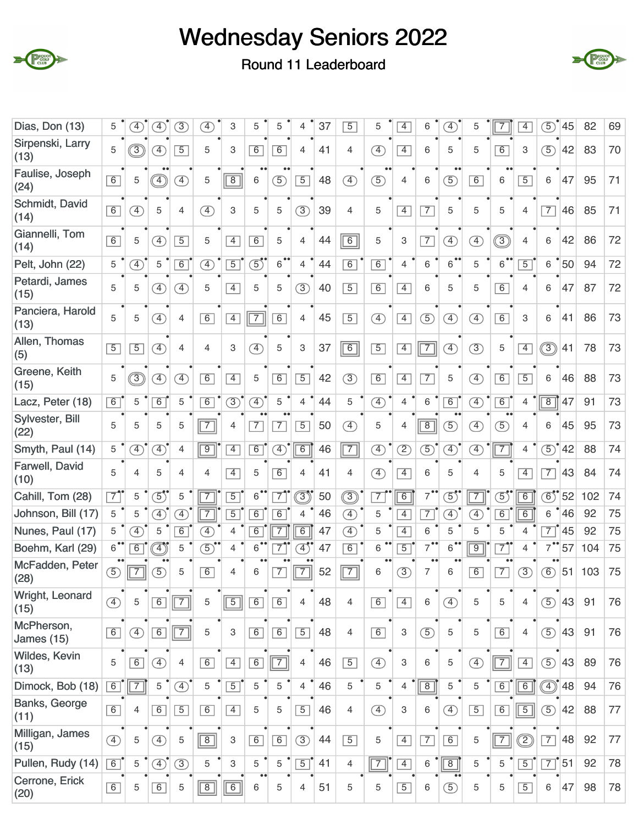



Round 11 Leaderboard

| Dias, Don (13)                  | 5              | $\boxed{4}$                  | $\boxed{4}$                            | 3                            | $\boxed{4}$                  | 3                         | 5                            | 5              | 4              | 37 | $\overline{5}$ | 5                            | $\overline{4}$  | 6              | $\left( \overline{4}\right)$ | 5              | 7               | $\overline{4}$ | 5)             | 45             | 82  | 69 |
|---------------------------------|----------------|------------------------------|----------------------------------------|------------------------------|------------------------------|---------------------------|------------------------------|----------------|----------------|----|----------------|------------------------------|-----------------|----------------|------------------------------|----------------|-----------------|----------------|----------------|----------------|-----|----|
| Sirpenski, Larry<br>(13)        | 5              | $\overline{3}$               | $\left( \overline{4}\right)$           | $\overline{5}$               | 5                            | 3                         | 6                            | 6              | 4              | 41 | 4              | $\left( \overline{4}\right)$ | $\overline{4}$  | 6              | 5                            | 5              | $\overline{6}$  | 3              | $\circled{5}$  | 42             | 83  | 70 |
| Faulise, Joseph<br>(24)         | 6              | 5                            | $\widehat{\mathcal{A}}$                | $\circled{4}$                | 5                            | $\overline{8}$            | 6                            | (5)            | $\boxed{5}$    | 48 | $\circled{4}$  | $\circled{5}$                | $\overline{4}$  | 6              | $\bullet$<br>(5)             | 6              | 6               | $\boxed{5}$    | 6              | 47             | 95  | 71 |
| Schmidt, David<br>(14)          | 6              | $\boxed{4}$                  | 5                                      | $\overline{4}$               | $\left( \overline{4}\right)$ | 3                         | 5                            | 5              | $\circled{3}$  | 39 | 4              | 5                            | $\overline{4}$  | $\overline{7}$ | 5                            | 5              | 5               | 4              | $\overline{7}$ | 46             | 85  | 71 |
| Giannelli, Tom<br>(14)          | 6              | 5                            | $\boxed{4}$                            | $\overline{5}$               | 5                            | $\overline{4}$            | 6                            | 5              | 4              | 44 | $\overline{6}$ | 5                            | 3               | $\overline{7}$ | $\circled{4}$                | F)             | $\circledS$     | 4              | 6              | 42             | 86  | 72 |
| Pelt, John (22)                 | 5              | $\left( \overline{4}\right)$ | 5                                      | $\overline{6}$               | $\circled{4}$                | $\overline{5}$            | $\circled{5}$                | $\overline{6}$ | $\overline{4}$ | 44 | 6              | 6                            | $\overline{4}$  | $\,6$          | $\overline{6}$               | 5              | $\overline{6}$  | $\overline{5}$ | 6              | 50             | 94  | 72 |
| Petardi, James<br>(15)          | 5              | 5                            | $\boxed{4}$                            | 4                            | 5                            | $\overline{4}$            | 5                            | 5              | (3)            | 40 | $\overline{5}$ | 6                            | $\overline{4}$  | 6              | 5                            | 5              | $\overline{6}$  | 4              | 6              | 47             | 87  | 72 |
| Panciera, Harold<br>(13)        | 5              | 5                            | $\left( \overline{4}\right)$           | $\overline{4}$               | 6                            | $\boxed{4}$               | $\boxed{7}$                  | 6              | $\overline{4}$ | 45 | $\overline{5}$ | $\circled{4}$                | $\boxed{4}$     | (5)            | ④                            | $\circled{4}$  | 6               | 3              | 6              | 41             | 86  | 73 |
| Allen, Thomas<br>(5)            | $\overline{5}$ | $\overline{5}$               | $\left( \overline{4}\right)$           | $\overline{4}$               | 4                            | 3                         | $\left( \overline{4}\right)$ | 5              | 3              | 37 | $\boxed{6}$    | $\overline{5}$               | $\overline{4}$  | $\boxed{7}$    | $\circled{4}$                | $\circled{3}$  | 5               | $\boxed{4}$    | $\circledS$    | 41             | 78  | 73 |
| Greene, Keith<br>(15)           | 5              | $\overline{3}$               | $\left( \overline{4}\right)$           | F)                           | 6                            | $\overline{4}$            | 5                            | 6              | $\boxed{5}$    | 42 | (3)            | 6                            | $\overline{4}$  | $\overline{7}$ | 5                            | ④              | 6               | $\boxed{5}$    | 6              | 46             | 88  | 73 |
| Lacz, Peter (18)                | 6              | 5                            | 6                                      | 5                            | $\overline{6}$               | $\circled{3}$             | $\overline{4}$               | 5              | 4              | 44 | 5              | $\left( \overline{4}\right)$ | 4               | $\,6$          | 6                            | <sup>4</sup>   | 6               | 4              | $\overline{8}$ | 47             | 91  | 73 |
| Sylvester, Bill<br>(22)         | 5              | 5                            | 5                                      | 5                            | $\sqrt{7}$                   | 4                         | $\overline{7}$               | $\overline{7}$ | $\boxed{5}$    | 50 | $\circled{4}$  | 5                            | 4               | $\boxed{8}$    | 5                            | Ŧ,             | 5               | 4              | 6              | 45             | 95  | 73 |
| Smyth, Paul (14)                | 5              | $\mathcal{F}$                | $\overline{4}$                         | $\overline{4}$               | $\sqrt{9}$                   | $\overline{4}$            | 6                            | F)             | $\overline{6}$ | 46 | $\boxed{7}$    | $\circled{4}$                | $\circled{2}$   | $\circled{5}$  | $\bigoplus$                  | $\circled{4}$  | $\overline{7}$  | 4              | $\circled{5}$  | 42             | 88  | 74 |
| Farwell, David<br>(10)          | 5              | 4                            | 5                                      | 4                            | 4                            | $\boxed{4}$               | 5                            | $\overline{6}$ | 4              | 41 | 4              | $\left( \overline{4}\right)$ | $\overline{4}$  | 6              | 5                            | 4              | 5               | $\overline{4}$ | $\overline{7}$ | 43             | 84  | 74 |
| Cahill, Tom (28)                | $\overline{7}$ | 5                            | $\mathfrak{F}$                         | 5                            | 7                            | $\overline{5}$            | $\overline{6}$               | $\overline{7}$ | 3)             | 50 | ③              | $\overline{7}$               | $\overline{6}$  | $\overline{7}$ | $\textcircled{\small{5}}"$   | $\overline{7}$ | $\overline{5}'$ | $\overline{6}$ | $\circledS$    | 52             | 102 | 74 |
| Johnson, Bill (17)              | 5              | 5                            | $\boxed{4}$                            | $\left( \overline{4}\right)$ |                              | $\overline{5}$            | $\overline{6}$               | $\overline{6}$ | 4              | 46 | $\mathcal{F}$  | 5                            | $\overline{4}$  | $\overline{7}$ | $\left( \overline{4}\right)$ | $\overline{4}$ | $\overline{6}$  | $\overline{6}$ | 6              | 46             | 92  | 75 |
| Nunes, Paul (17)                | 5              | $\mathcal{F}$                | 5                                      | $\overline{6}$               | $\boxed{4}$                  | 4                         | $\overline{6}$               | 7              | $\overline{6}$ | 47 | $\circled{4}$  | 5                            | $\overline{4}$  | 6              | 5                            | 5              | 5               | $\overline{4}$ | $\overline{7}$ | 45             | 92  | 75 |
| Boehm, Karl (29)                | $\overline{6}$ | $\overline{6}$               | $\widehat{A}$                          | 5                            | 5)                           | 4                         | 6                            | 7              | $\boxed{4}$    | 47 | $\overline{6}$ | 6                            | $\overline{5}$  | 7              | 6                            | $\overline{9}$ | 7               | 4              | 7              | 57             | 104 | 75 |
| McFadden, Peter<br>(28)         | $\circ$        | $\overline{7}$               | $\overline{5}$                         | 5                            | 6                            | 4                         | 6                            | $\overline{7}$ | $\overline{7}$ | 52 | $\overline{7}$ | 6                            | $\circled{3}$   | 7              | 6                            | 6              | $\overline{7}$  | $\circled{3}$  | $\circled{6}$  | 51             | 103 | 75 |
| Wright, Leonard<br>(15)         | $\circled{4}$  | 5                            | $\overline{6}$                         | $\overline{7}$               | 5                            | $\boxed{5}$               | 6                            | 6              | 4              | 48 | 4              | 6                            | $\boxed{4}$     | 6              | ④                            | 5              | 5               | 4              | $\circled{5}$  | 43             | 91  | 76 |
| McPherson,<br><b>James</b> (15) | 6              | $\bigoplus$                  | $\boxed{6}$                            | $\boxed{7}$                  | 5                            | $\ensuremath{\mathsf{3}}$ | $\boxed{6}$                  | 6              | $\boxed{5}$    | 48 | $\overline{4}$ | 6                            | 3               | $\circled{5}$  | 5                            | 5              | 6               | $\overline{4}$ | $\circled{5}$  | 43             | 91  | 76 |
| Wildes, Kevin<br>(13)           | 5              | 6                            | $\circled{4}$                          | $\overline{4}$               | 6                            | $\boxed{4}$               | $\boxed{6}$                  | $\boxed{7}$    | 4              | 46 | $\overline{5}$ | $\circled{4}$                | $\mathbf{3}$    | 6              | 5                            | $\circled{4}$  | $\boxed{7}$     | $\boxed{4}$    | $\circled{5}$  | 43             | 89  | 76 |
| Dimock, Bob (18)                | 6              | $\overline{7}$               | 5                                      | $\circled{4}$                | 5                            | $\boxed{5}$               | 5                            | $\mathbf 5$    | $\overline{4}$ | 46 | 5              | 5                            | $\overline{4}$  | $\boxed{8}$    | 5                            | 5              | 6               | $\boxed{6}$    |                | $\circled{48}$ | 94  | 76 |
| Banks, George<br>(11)           | $\boxed{6}$    | 4                            | $\boxed{6}$                            | $\boxed{5}$                  | 6                            | $\boxed{4}$               | 5                            | 5              | $\boxed{5}$    | 46 | 4              | $\circled{4}$                | $\mathbf{3}$    | 6              | $\circled{4}$                | $\boxed{5}$    | 6               | $\boxed{5}$    | $\circled{5}$  | 42             | 88  | 77 |
| Milligan, James<br>(15)         | $\circled{4}$  | 5                            | $\circled{4}$                          | 5                            | $\boxed{8}$                  | 3                         | 6                            | 6              | $\circled{3}$  | 44 | $\overline{5}$ | 5                            | $\vert 4 \vert$ | $\boxed{7}$    | 6                            | 5              | $\boxed{7}$     | ②              | $\overline{7}$ | 48             | 92  | 77 |
| Pullen, Rudy (14)               | $\boxed{6}$    | 5                            | $\textcircled{\scriptsize{4}}^\bullet$ | $\circled{3}$                | 5                            | $\,3$                     | 5                            | $\sqrt{5}$     | $\boxed{5}$    | 41 | 4              | $\boxed{7}$                  | $\overline{4}$  | 6              | $\boxed{8}$                  | 5              | 5               | $\boxed{5}$    | $\overline{7}$ | $\mid$ 51      | 92  | 78 |
| Cerrone, Erick<br>(20)          | 6              | 5                            | 6                                      | 5                            | $\boxed{8}$                  | $\boxed{6}$               | $6\,$                        | 5              | 4              | 51 | 5              | 5                            | $\boxed{5}$     | 6              | $\circled{5}$                | 5              | 5               | $\boxed{5}$    | 6              | 47             | 98  | 78 |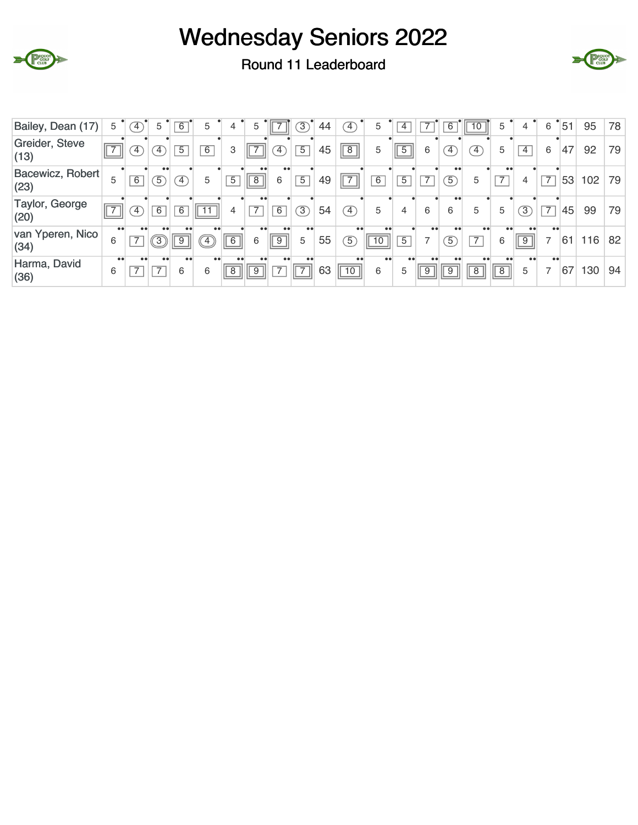



Round 11 Leaderboard

| 78<br>79<br>79    |
|-------------------|
|                   |
|                   |
|                   |
| 79                |
| 82                |
| 94                |
| 102<br>116<br>130 |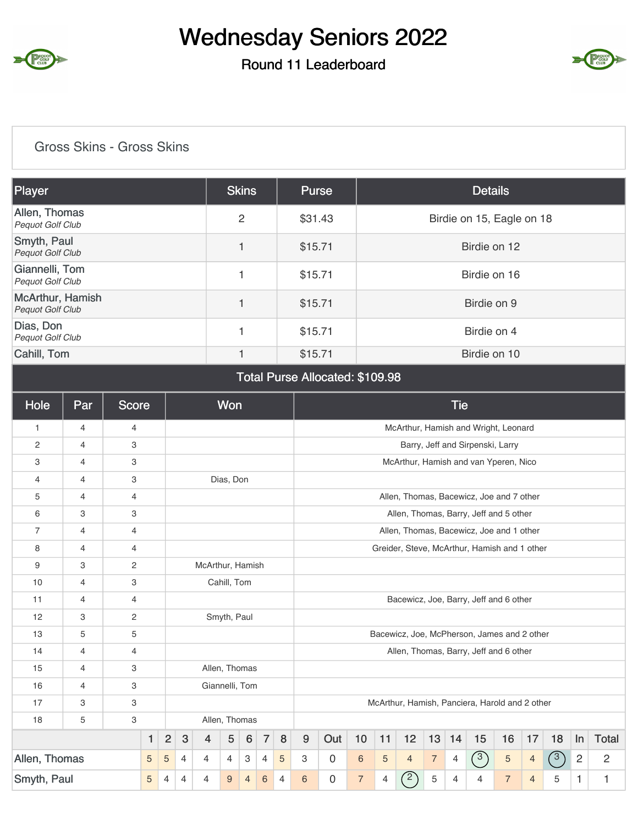

### Round 11 Leaderboard



#### Gross Skins - Gross Skins

| Player                               | <b>Skins</b> | Purse   | <b>Details</b>            |
|--------------------------------------|--------------|---------|---------------------------|
| Allen, Thomas<br>Pequot Golf Club    | 2            | \$31.43 | Birdie on 15, Eagle on 18 |
| Smyth, Paul<br>Pequot Golf Club      |              | \$15.71 | Birdie on 12              |
| Giannelli, Tom<br>Pequot Golf Club   |              | \$15.71 | Birdie on 16              |
| McArthur, Hamish<br>Pequot Golf Club |              | \$15.71 | Birdie on 9               |
| Dias, Don<br>Pequot Golf Club        |              | \$15.71 | Birdie on 4               |
| Cahill, Tom                          | 1            | \$15.71 | Birdie on 10              |

#### Total Purse Allocated: \$109.98

| Hole           | Par            | <b>Score</b> |   |                |            |                  | Won            |                |                |   |                  |     |                |                |                |                | <b>Tie</b> |                                                |                |                |     |                |                |
|----------------|----------------|--------------|---|----------------|------------|------------------|----------------|----------------|----------------|---|------------------|-----|----------------|----------------|----------------|----------------|------------|------------------------------------------------|----------------|----------------|-----|----------------|----------------|
| $\mathbf{1}$   | $\overline{4}$ | 4            |   |                |            |                  |                |                |                |   |                  |     |                |                |                |                |            | McArthur, Hamish and Wright, Leonard           |                |                |     |                |                |
| $\overline{c}$ | $\overline{4}$ | 3            |   |                |            |                  |                |                |                |   |                  |     |                |                |                |                |            | Barry, Jeff and Sirpenski, Larry               |                |                |     |                |                |
| 3              | $\overline{4}$ | 3            |   |                |            |                  |                |                |                |   |                  |     |                |                |                |                |            | McArthur, Hamish and van Yperen, Nico          |                |                |     |                |                |
| $\overline{4}$ | 4              | 3            |   |                |            |                  | Dias, Don      |                |                |   |                  |     |                |                |                |                |            |                                                |                |                |     |                |                |
| 5              | $\overline{4}$ | 4            |   |                |            |                  |                |                |                |   |                  |     |                |                |                |                |            | Allen, Thomas, Bacewicz, Joe and 7 other       |                |                |     |                |                |
| 6              | 3              | 3            |   |                |            |                  |                |                |                |   |                  |     |                |                |                |                |            | Allen, Thomas, Barry, Jeff and 5 other         |                |                |     |                |                |
| 7              | 4              | 4            |   |                |            |                  |                |                |                |   |                  |     |                |                |                |                |            | Allen, Thomas, Bacewicz, Joe and 1 other       |                |                |     |                |                |
| 8              | $\overline{4}$ | 4            |   |                |            |                  |                |                |                |   |                  |     |                |                |                |                |            | Greider, Steve, McArthur, Hamish and 1 other   |                |                |     |                |                |
| 9              | 3              | 2            |   |                |            | McArthur, Hamish |                |                |                |   |                  |     |                |                |                |                |            |                                                |                |                |     |                |                |
| 10             | $\overline{4}$ | 3            |   |                |            |                  | Cahill, Tom    |                |                |   |                  |     |                |                |                |                |            |                                                |                |                |     |                |                |
| 11             | 4              | 4            |   |                |            |                  |                |                |                |   |                  |     |                |                |                |                |            | Bacewicz, Joe, Barry, Jeff and 6 other         |                |                |     |                |                |
| 12             | 3              | 2            |   |                |            |                  | Smyth, Paul    |                |                |   |                  |     |                |                |                |                |            |                                                |                |                |     |                |                |
| 13             | 5              | 5            |   |                |            |                  |                |                |                |   |                  |     |                |                |                |                |            | Bacewicz, Joe, McPherson, James and 2 other    |                |                |     |                |                |
| 14             | 4              | 4            |   |                |            |                  |                |                |                |   |                  |     |                |                |                |                |            | Allen, Thomas, Barry, Jeff and 6 other         |                |                |     |                |                |
| 15             | $\overline{4}$ | 3            |   |                |            |                  | Allen, Thomas  |                |                |   |                  |     |                |                |                |                |            |                                                |                |                |     |                |                |
| 16             | 4              | 3            |   |                |            |                  | Giannelli, Tom |                |                |   |                  |     |                |                |                |                |            |                                                |                |                |     |                |                |
| 17             | 3              | 3            |   |                |            |                  |                |                |                |   |                  |     |                |                |                |                |            | McArthur, Hamish, Panciera, Harold and 2 other |                |                |     |                |                |
| 18             | 5              | 3            |   |                |            |                  | Allen, Thomas  |                |                |   |                  |     |                |                |                |                |            |                                                |                |                |     |                |                |
|                |                |              | 1 | $\overline{2}$ | $\sqrt{3}$ | $\overline{4}$   | $\overline{5}$ | 6              | $\overline{7}$ | 8 | $\boldsymbol{9}$ | Out | $10$           | 11             | 12             | 13             | 14         | 15                                             | 16             | 17             | 18  | In             | <b>Total</b>   |
| Allen, Thomas  |                |              | 5 | 5              | 4          | 4                | $\overline{4}$ | 3              | 4              | 5 | 3                | 0   | $\,6\,$        | $\overline{5}$ | $\overline{4}$ | $\overline{7}$ | 4          | (3)                                            | $\sqrt{5}$     | $\overline{4}$ | (3) | $\overline{2}$ | $\overline{2}$ |
| Smyth, Paul    |                |              | 5 | 4              | 4          | 4                | 9              | $\overline{4}$ | 6              | 4 | 6                | 0   | $\overline{7}$ | 4              | $\binom{2}{ }$ | 5              | 4          | 4                                              | $\overline{7}$ | $\overline{4}$ | 5   | 1.             | 1              |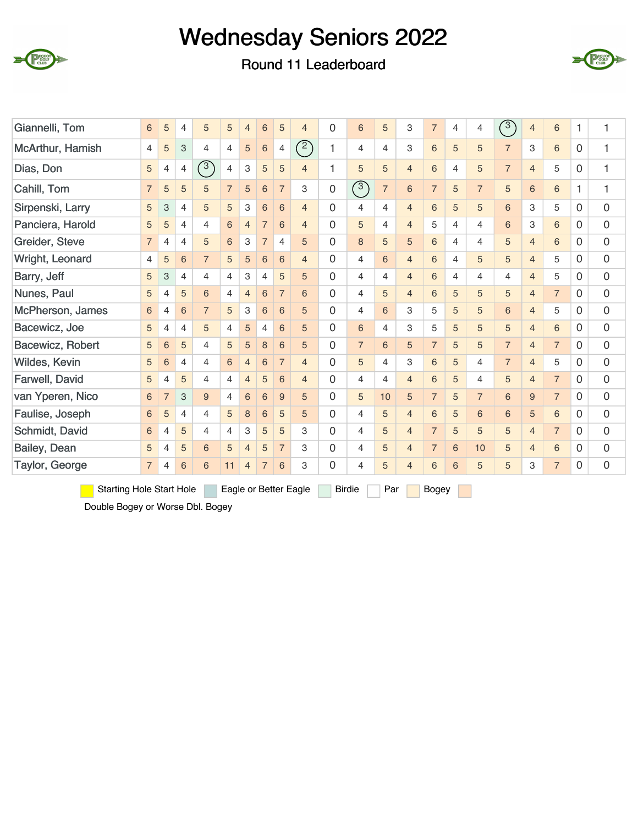





| Giannelli, Tom   | 6              | 5              | 4              | 5              | 5              | $\overline{4}$ | $6\phantom{1}6$ | 5              | $\overline{4}$ | 0        | $6\,$          | 5              | 3              | $\overline{7}$ | 4 | 4              | $\sqrt{3}$     | $\overline{4}$ | 6              | 1           | 1 |
|------------------|----------------|----------------|----------------|----------------|----------------|----------------|-----------------|----------------|----------------|----------|----------------|----------------|----------------|----------------|---|----------------|----------------|----------------|----------------|-------------|---|
| McArthur, Hamish | 4              | 5              | 3              | $\overline{4}$ | 4              | 5              | 6               | $\overline{4}$ | (2)            |          | $\overline{4}$ | 4              | 3              | 6              | 5 | 5              | $\overline{7}$ | 3              | 6              | $\Omega$    | 1 |
| Dias, Don        | 5              | $\overline{4}$ | $\overline{4}$ | $\binom{3}{ }$ | $\overline{4}$ | 3              | 5               | 5              | $\overline{4}$ |          | 5              | 5              | $\overline{4}$ | 6              | 4 | 5              | $\overline{7}$ | $\overline{4}$ | 5              | $\mathbf 0$ | 1 |
| Cahill, Tom      | $\overline{7}$ | 5              | 5              | 5              | $\overline{7}$ | 5              | 6               | $\overline{7}$ | 3              | 0        | $\circled{3}$  | $\overline{7}$ | $\,6$          | $\overline{7}$ | 5 | $\overline{7}$ | 5              | 6              | 6              | 1           | 1 |
| Sirpenski, Larry | 5              | 3              | $\overline{4}$ | 5              | 5              | 3              | 6               | 6              | $\overline{4}$ | 0        | 4              | 4              | $\overline{4}$ | 6              | 5 | 5              | 6              | 3              | 5              | 0           | 0 |
| Panciera, Harold | 5              | 5              | $\overline{4}$ | $\overline{4}$ | 6              | $\overline{4}$ | $\overline{7}$  | 6              | $\overline{4}$ | $\Omega$ | 5              | $\overline{4}$ | $\overline{4}$ | 5              | 4 | $\overline{4}$ | 6              | 3              | 6              | $\Omega$    | 0 |
| Greider, Steve   | $\overline{7}$ | 4              | $\overline{4}$ | 5              | 6              | 3              | $\overline{7}$  | $\overline{4}$ | 5              | $\Omega$ | $\,8\,$        | 5              | 5              | 6              | 4 | $\overline{4}$ | 5              | $\overline{4}$ | 6              | $\Omega$    | 0 |
| Wright, Leonard  | 4              | 5              | 6              | $\overline{7}$ | 5              | 5              | 6               | 6              | $\overline{4}$ | $\Omega$ | 4              | 6              | $\overline{4}$ | 6              | 4 | 5              | 5              | $\overline{4}$ | 5              | 0           | 0 |
| Barry, Jeff      | 5              | 3              | $\overline{4}$ | $\overline{4}$ | 4              | 3              | $\overline{4}$  | 5              | 5              | 0        | $\overline{4}$ | 4              | $\overline{4}$ | 6              | 4 | 4              | 4              | $\overline{4}$ | 5              | $\Omega$    | 0 |
| Nunes, Paul      | 5              | 4              | 5              | 6              | $\overline{4}$ | $\overline{4}$ | 6               | $\overline{7}$ | 6              | $\Omega$ | 4              | 5              | $\overline{4}$ | 6              | 5 | 5              | 5              | $\overline{4}$ | $\overline{7}$ | $\Omega$    | 0 |
| McPherson, James | 6              | $\overline{4}$ | 6              | $\overline{7}$ | 5              | 3              | 6               | 6              | 5              | $\Omega$ | $\overline{4}$ | 6              | 3              | 5              | 5 | 5              | 6              | $\overline{4}$ | 5              | $\Omega$    | 0 |
| Bacewicz, Joe    | 5              | 4              | 4              | 5              | 4              | 5              | 4               | 6              | 5              | $\Omega$ | 6              | 4              | 3              | 5              | 5 | 5              | 5              | $\overline{4}$ | 6              | 0           | 0 |
| Bacewicz, Robert | 5              | 6              | 5              | 4              | 5              | 5              | 8               | 6              | 5              | $\Omega$ | $\overline{7}$ | 6              | 5              | $\overline{7}$ | 5 | 5              | $\overline{7}$ | $\overline{4}$ | $\overline{7}$ | $\Omega$    | 0 |
| Wildes, Kevin    | 5              | 6              | 4              | $\overline{4}$ | 6              | $\overline{4}$ | 6               | $\overline{7}$ | $\overline{4}$ | 0        | 5              | 4              | 3              | 6              | 5 | $\overline{4}$ | $\overline{7}$ | $\overline{4}$ | 5              | $\Omega$    | 0 |
| Farwell, David   | 5              | 4              | 5              | $\overline{4}$ | $\overline{4}$ | $\overline{4}$ | 5               | 6              | $\overline{4}$ | 0        | $\overline{4}$ | 4              | $\overline{4}$ | 6              | 5 | $\overline{4}$ | 5              | $\overline{4}$ | $\overline{7}$ | $\Omega$    | 0 |
| van Yperen, Nico | 6              | $\overline{7}$ | 3              | 9              | 4              | 6              | 6               | 9              | 5              | 0        | 5              | 10             | 5              | $\overline{7}$ | 5 | $\overline{7}$ | 6              | 9              | $\overline{7}$ | $\Omega$    | 0 |
| Faulise, Joseph  | 6              | 5              | 4              | $\overline{4}$ | 5              | 8              | 6               | 5              | 5              | $\Omega$ | $\overline{4}$ | 5              | $\overline{4}$ | 6              | 5 | 6              | 6              | 5              | 6              | $\Omega$    | 0 |
| Schmidt, David   | 6              | 4              | 5              | $\overline{4}$ | 4              | 3              | 5               | 5              | 3              | $\Omega$ | 4              | 5              | $\overline{4}$ | $\overline{7}$ | 5 | 5              | 5              | $\overline{4}$ | $\overline{7}$ | 0           | 0 |
| Bailey, Dean     | 5              | 4              | 5              | 6              | 5              | $\overline{4}$ | 5               | $\overline{7}$ | 3              | $\Omega$ | 4              | 5              | $\overline{4}$ | $\overline{7}$ | 6 | 10             | 5              | $\overline{4}$ | 6              | 0           | 0 |
| Taylor, George   | $\overline{7}$ | 4              | 6              | 6              | 11             | $\overline{4}$ | $\overline{7}$  | 6              | 3              | $\Omega$ | 4              | 5              | $\overline{4}$ | 6              | 6 | 5              | 5              | 3              | $\overline{7}$ | $\Omega$    | 0 |

Starting Hole Start Hole Eagle or Better Eagle Birdie Par Bogey

Double Bogey or Worse Dbl. Bogey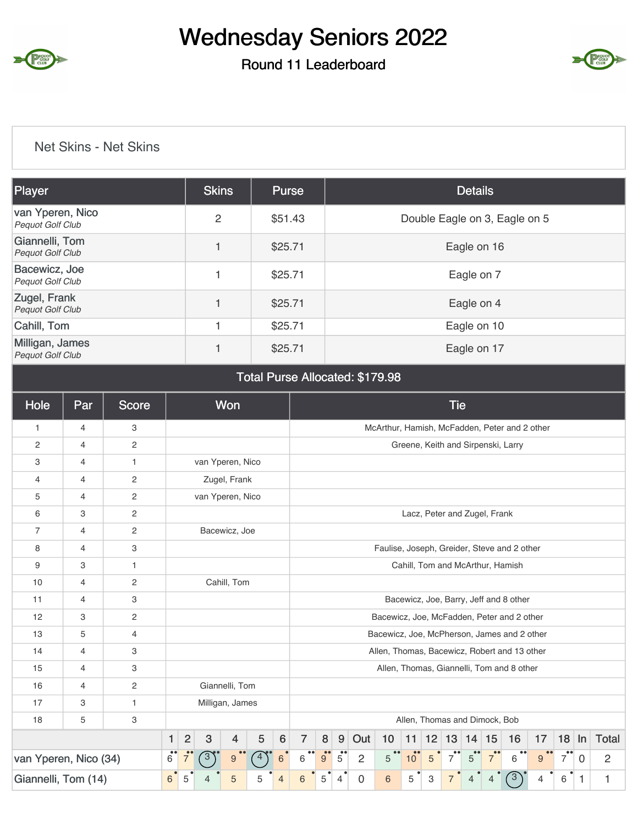

### Round 11 Leaderboard



#### Net Skins - Net Skins

| <b>Player</b>                               | <b>Skins</b>   | Purse   | <b>Details</b>                |
|---------------------------------------------|----------------|---------|-------------------------------|
| van Yperen, Nico<br><b>Pequot Golf Club</b> | $\overline{c}$ | \$51.43 | Double Eagle on 3, Eagle on 5 |
| Giannelli, Tom<br><b>Pequot Golf Club</b>   |                | \$25.71 | Eagle on 16                   |
| Bacewicz, Joe<br>Pequot Golf Club           |                | \$25.71 | Eagle on 7                    |
| Zugel, Frank<br>Pequot Golf Club            |                | \$25.71 | Eagle on 4                    |
| Cahill, Tom                                 |                | \$25.71 | Eagle on 10                   |
| Milligan, James<br><b>Pequot Golf Club</b>  |                | \$25.71 | Eagle on 17                   |

#### Total Purse Allocated: \$179.98

| Hole                  | Par            | <b>Score</b>   |                       |                             |                  | <b>Won</b>      |                |                |                |         |                        |                |                                               |                 |    | <b>Tie</b>                    |                |                |                                           |    |                       |          |                |
|-----------------------|----------------|----------------|-----------------------|-----------------------------|------------------|-----------------|----------------|----------------|----------------|---------|------------------------|----------------|-----------------------------------------------|-----------------|----|-------------------------------|----------------|----------------|-------------------------------------------|----|-----------------------|----------|----------------|
| 1                     | $\overline{4}$ | 3              |                       |                             |                  |                 |                |                |                |         |                        |                | McArthur, Hamish, McFadden, Peter and 2 other |                 |    |                               |                |                |                                           |    |                       |          |                |
| 2                     | 4              | 2              |                       |                             |                  |                 |                |                |                |         |                        |                |                                               |                 |    |                               |                |                | Greene, Keith and Sirpenski, Larry        |    |                       |          |                |
| 3                     | $\overline{4}$ | 1              |                       |                             | van Yperen, Nico |                 |                |                |                |         |                        |                |                                               |                 |    |                               |                |                |                                           |    |                       |          |                |
| 4                     | 4              | 2              |                       |                             |                  | Zugel, Frank    |                |                |                |         |                        |                |                                               |                 |    |                               |                |                |                                           |    |                       |          |                |
| 5                     | 4              | 2              |                       |                             | van Yperen, Nico |                 |                |                |                |         |                        |                |                                               |                 |    |                               |                |                |                                           |    |                       |          |                |
| 6                     | 3              | 2              |                       |                             |                  |                 |                |                |                |         |                        |                |                                               |                 |    | Lacz, Peter and Zugel, Frank  |                |                |                                           |    |                       |          |                |
| 7                     | 4              | $\overline{c}$ |                       |                             |                  | Bacewicz, Joe   |                |                |                |         |                        |                |                                               |                 |    |                               |                |                |                                           |    |                       |          |                |
| 8                     | $\overline{4}$ | 3              |                       |                             |                  |                 |                |                |                |         |                        |                | Faulise, Joseph, Greider, Steve and 2 other   |                 |    |                               |                |                |                                           |    |                       |          |                |
| 9                     | 3              | $\mathbf{1}$   |                       |                             |                  |                 |                |                |                |         |                        |                |                                               |                 |    |                               |                |                | Cahill, Tom and McArthur, Hamish          |    |                       |          |                |
| 10                    | 4              | 2              |                       |                             |                  | Cahill, Tom     |                |                |                |         |                        |                |                                               |                 |    |                               |                |                |                                           |    |                       |          |                |
| 11                    | $\overline{4}$ | 3              |                       |                             |                  |                 |                |                |                |         |                        |                |                                               |                 |    |                               |                |                | Bacewicz, Joe, Barry, Jeff and 8 other    |    |                       |          |                |
| 12                    | 3              | 2              |                       |                             |                  |                 |                |                |                |         |                        |                | Bacewicz, Joe, McFadden, Peter and 2 other    |                 |    |                               |                |                |                                           |    |                       |          |                |
| 13                    | 5              | 4              |                       |                             |                  |                 |                |                |                |         |                        |                | Bacewicz, Joe, McPherson, James and 2 other   |                 |    |                               |                |                |                                           |    |                       |          |                |
| 14                    | 4              | 3              |                       |                             |                  |                 |                |                |                |         |                        |                | Allen, Thomas, Bacewicz, Robert and 13 other  |                 |    |                               |                |                |                                           |    |                       |          |                |
| 15                    | 4              | 3              |                       |                             |                  |                 |                |                |                |         |                        |                |                                               |                 |    |                               |                |                | Allen, Thomas, Giannelli, Tom and 8 other |    |                       |          |                |
| 16                    | 4              | $\mathbf{2}$   |                       |                             |                  | Giannelli, Tom  |                |                |                |         |                        |                |                                               |                 |    |                               |                |                |                                           |    |                       |          |                |
| 17                    | 3              | $\mathbf{1}$   |                       |                             |                  | Milligan, James |                |                |                |         |                        |                |                                               |                 |    |                               |                |                |                                           |    |                       |          |                |
| 18                    | 5              | 3              |                       |                             |                  |                 |                |                |                |         |                        |                |                                               |                 |    | Allen, Thomas and Dimock, Bob |                |                |                                           |    |                       |          |                |
|                       |                |                | $\mathbf{1}$          | $\overline{2}$              | $\mathbf{3}$     | $\overline{4}$  | 5              | $6\phantom{1}$ | $\overline{7}$ | $\bf 8$ | 9                      | Out            | 10                                            | 11              | 12 | 13                            | 14 15          |                | 16                                        | 17 | 18                    | $\ln$    | <b>Total</b>   |
| van Yperen, Nico (34) |                |                | $\bullet\bullet$<br>6 | $\bullet$<br>$\overline{7}$ | $\left(3\right)$ | 9               | $\overline{4}$ | 6              | 6              | 9       | $\bullet \bullet$<br>5 | $\overline{2}$ | 5                                             | 10 <sup>°</sup> | 5  | 7                             | 5              | $\overline{7}$ | 6                                         | 9  | $\bullet\bullet$<br>7 | $\Omega$ | $\overline{c}$ |
| Giannelli, Tom (14)   |                |                | $\bullet$<br>6        | 5                           |                  | 5               | 5              | $\overline{4}$ | 6              | 5       | $\overline{4}$         | $\mathbf 0$    | $6\phantom{1}$                                | 5               | 3  | 7                             | $\overline{4}$ | $\overline{4}$ | $\left(3\right)$                          | 4  | $\bullet$<br>6        | 1        | 1              |